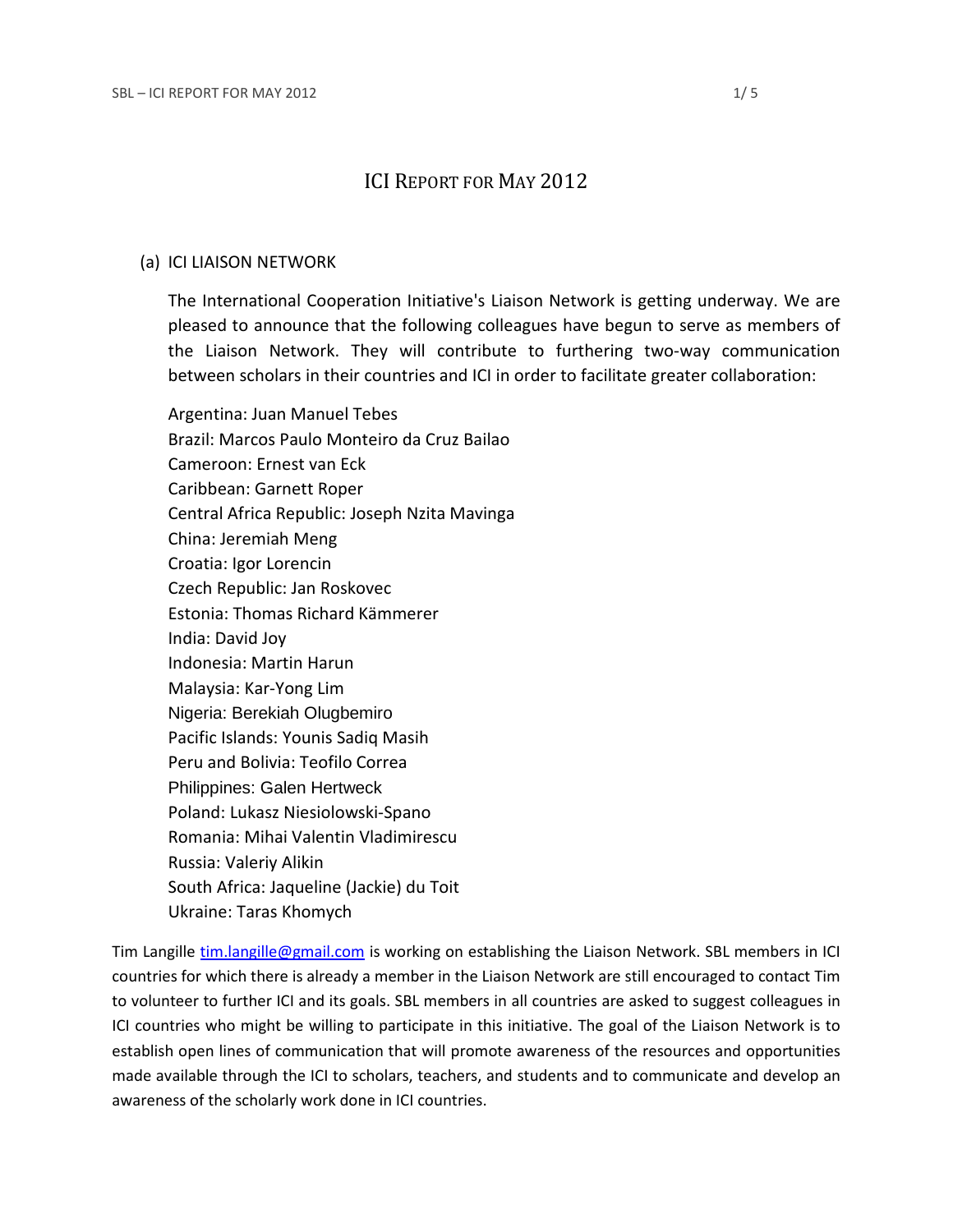# ICI REPORT FOR MAY 2012

#### (a) ICI LIAISON NETWORK

The International Cooperation Initiative's Liaison Network is getting underway. We are pleased to announce that the following colleagues have begun to serve as members of the Liaison Network. They will contribute to furthering two-way communication between scholars in their countries and ICI in order to facilitate greater collaboration:

Argentina: Juan Manuel Tebes Brazil: Marcos Paulo Monteiro da Cruz Bailao Cameroon: Ernest van Eck Caribbean: Garnett Roper Central Africa Republic: Joseph Nzita Mavinga China: Jeremiah Meng Croatia: Igor Lorencin Czech Republic: Jan Roskovec Estonia: Thomas Richard Kämmerer India: David Joy Indonesia: Martin Harun Malaysia: Kar-Yong Lim Nigeria: Berekiah Olugbemiro Pacific Islands: Younis Sadiq Masih Peru and Bolivia: Teofilo Correa Philippines: Galen Hertweck Poland: Lukasz Niesiolowski-Spano Romania: Mihai Valentin Vladimirescu Russia: Valeriy Alikin South Africa: Jaqueline (Jackie) du Toit Ukraine: Taras Khomych

Tim Langille [tim.langille@gmail.com](mailto:tim.langille@gmail.com) is working on establishing the Liaison Network. SBL members in ICI countries for which there is already a member in the Liaison Network are still encouraged to [contact Tim](mailto:tim.langille@utoronto.ca) to volunteer to further ICI and its goals. SBL members in all countries are asked to suggest colleagues in ICI countries who might be willing to participate in this initiative. The goal of the Liaison Network is to establish open lines of communication that will promote awareness of the resources and opportunities made available through the ICI to scholars, teachers, and students and to communicate and develop an awareness of the scholarly work done in ICI countries.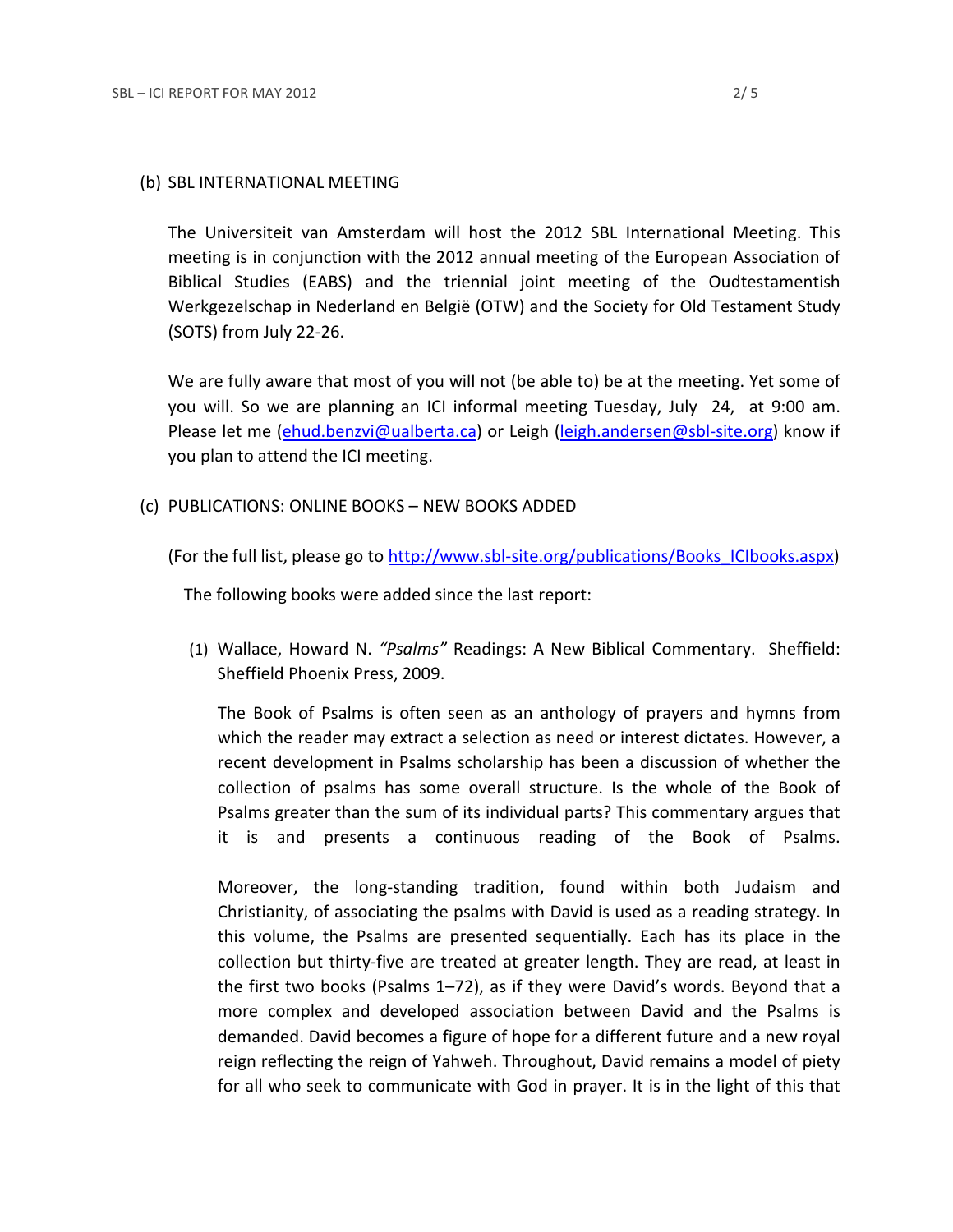#### (b) SBL INTERNATIONAL MEETING

The Universiteit van Amsterdam will host the 2012 SBL International Meeting. This meeting is in conjunction with the 2012 annual meeting of the European Association of Biblical Studies (EABS) and the triennial joint meeting of the Oudtestamentish Werkgezelschap in Nederland en België (OTW) and the Society for Old Testament Study (SOTS) from July 22-26.

We are fully aware that most of you will not (be able to) be at the meeting. Yet some of you will. So we are planning an ICI informal meeting Tuesday, July 24, at 9:00 am. Please let me [\(ehud.benzvi@ualberta.ca\)](mailto:ehud.benzvi@ualberta.ca) or Leigh [\(leigh.andersen@sbl-site.org\)](mailto:leigh.andersen@sbl-site.org) know if you plan to attend the ICI meeting.

(c) PUBLICATIONS: ONLINE BOOKS – NEW BOOKS ADDED

(For the full list, please go to [http://www.sbl-site.org/publications/Books\\_ICIbooks.aspx\)](http://www.sbl-site.org/publications/Books_ICIbooks.aspx)

The following books were added since the last report:

(1) Wallace, Howard N. *"Psalms"* Readings: A New Biblical Commentary. Sheffield: Sheffield Phoenix Press, 2009.

The Book of Psalms is often seen as an anthology of prayers and hymns from which the reader may extract a selection as need or interest dictates. However, a recent development in Psalms scholarship has been a discussion of whether the collection of psalms has some overall structure. Is the whole of the Book of Psalms greater than the sum of its individual parts? This commentary argues that it is and presents a continuous reading of the Book of Psalms.

Moreover, the long-standing tradition, found within both Judaism and Christianity, of associating the psalms with David is used as a reading strategy. In this volume, the Psalms are presented sequentially. Each has its place in the collection but thirty-five are treated at greater length. They are read, at least in the first two books (Psalms 1–72), as if they were David's words. Beyond that a more complex and developed association between David and the Psalms is demanded. David becomes a figure of hope for a different future and a new royal reign reflecting the reign of Yahweh. Throughout, David remains a model of piety for all who seek to communicate with God in prayer. It is in the light of this that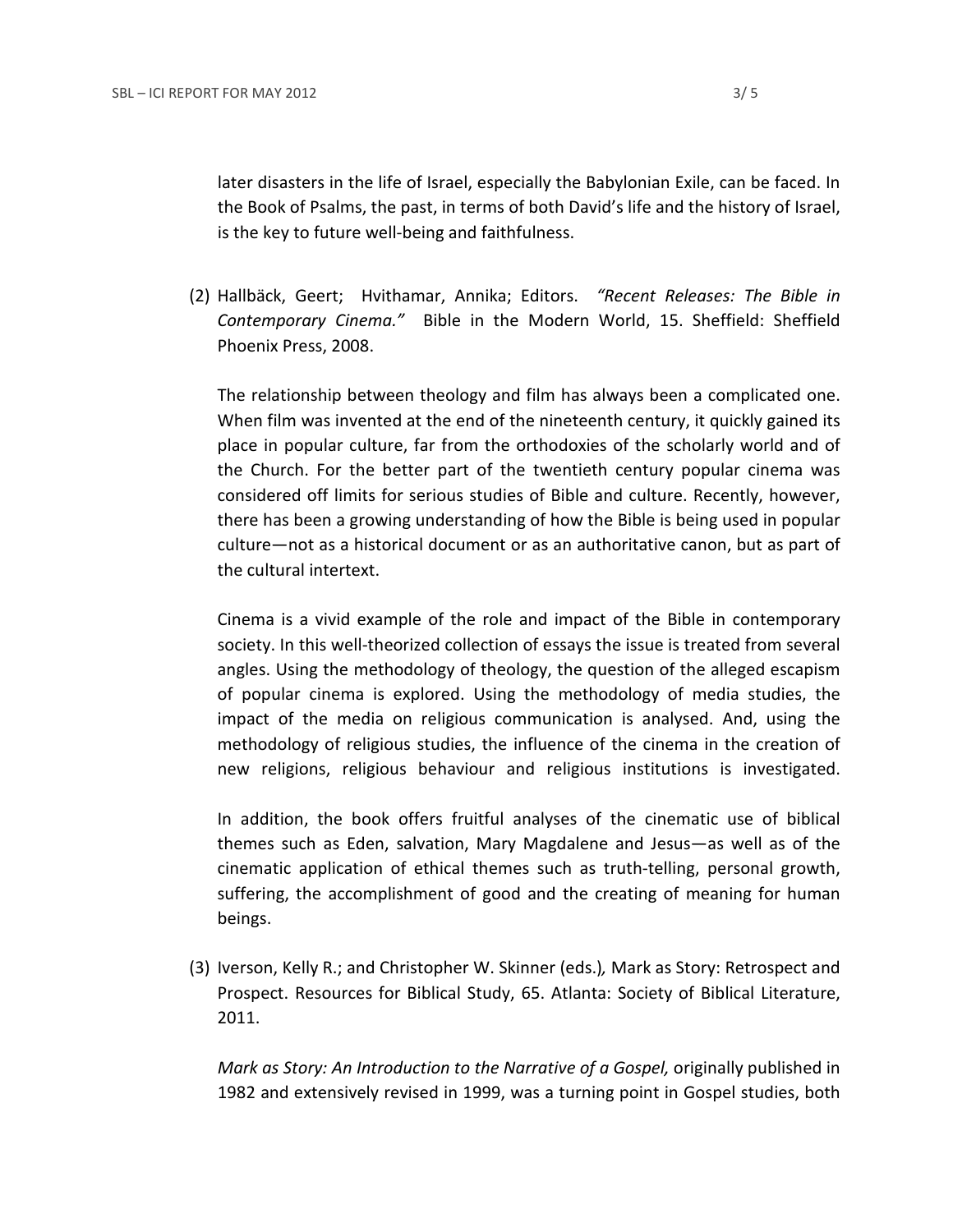later disasters in the life of Israel, especially the Babylonian Exile, can be faced. In the Book of Psalms, the past, in terms of both David's life and the history of Israel, is the key to future well-being and faithfulness.

(2) Hallbäck, Geert; Hvithamar, Annika; Editors. *"Recent Releases: The Bible in Contemporary Cinema."* Bible in the Modern World, 15. Sheffield: Sheffield Phoenix Press, 2008.

The relationship between theology and film has always been a complicated one. When film was invented at the end of the nineteenth century, it quickly gained its place in popular culture, far from the orthodoxies of the scholarly world and of the Church. For the better part of the twentieth century popular cinema was considered off limits for serious studies of Bible and culture. Recently, however, there has been a growing understanding of how the Bible is being used in popular culture—not as a historical document or as an authoritative canon, but as part of the cultural intertext.

Cinema is a vivid example of the role and impact of the Bible in contemporary society. In this well-theorized collection of essays the issue is treated from several angles. Using the methodology of theology, the question of the alleged escapism of popular cinema is explored. Using the methodology of media studies, the impact of the media on religious communication is analysed. And, using the methodology of religious studies, the influence of the cinema in the creation of new religions, religious behaviour and religious institutions is investigated.

In addition, the book offers fruitful analyses of the cinematic use of biblical themes such as Eden, salvation, Mary Magdalene and Jesus—as well as of the cinematic application of ethical themes such as truth-telling, personal growth, suffering, the accomplishment of good and the creating of meaning for human beings.

(3) Iverson, Kelly R.; and Christopher W. Skinner (eds.)*,* Mark as Story: Retrospect and Prospect. Resources for Biblical Study, 65. Atlanta: Society of Biblical Literature, 2011.

*Mark as Story: An Introduction to the Narrative of a Gospel,* originally published in 1982 and extensively revised in 1999, was a turning point in Gospel studies, both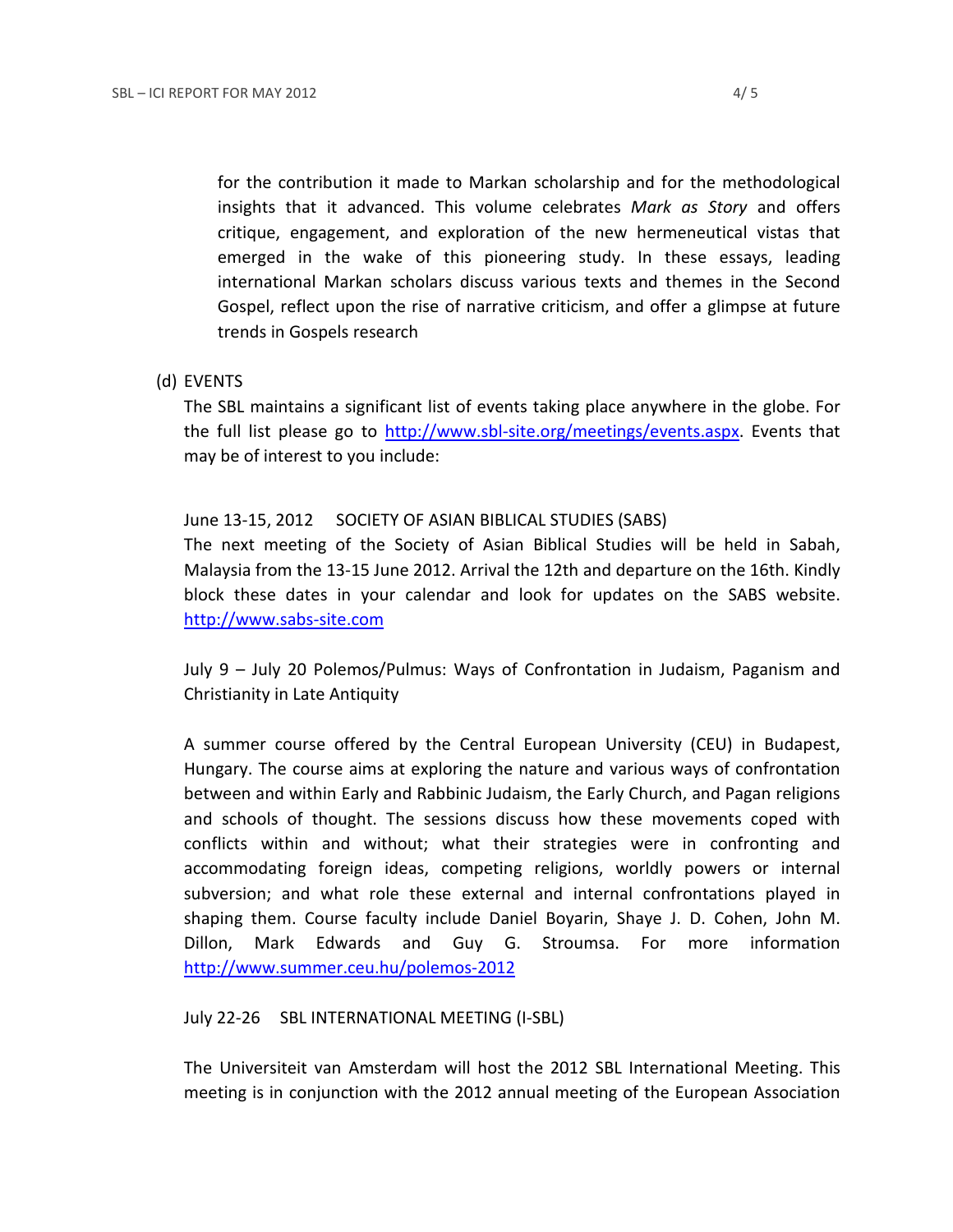for the contribution it made to Markan scholarship and for the methodological insights that it advanced. This volume celebrates *Mark as Story* and offers critique, engagement, and exploration of the new hermeneutical vistas that emerged in the wake of this pioneering study. In these essays, leading international Markan scholars discuss various texts and themes in the Second Gospel, reflect upon the rise of narrative criticism, and offer a glimpse at future trends in Gospels research

(d) EVENTS

The SBL maintains a significant list of events taking place anywhere in the globe. For the full list please go to [http://www.sbl-site.org/meetings/events.aspx.](http://www.sbl-site.org/meetings/events.aspx) Events that may be of interest to you include:

June 13-15, 2012 SOCIETY OF ASIAN BIBLICAL STUDIES (SABS) The next meeting of the Society of Asian Biblical Studies will be held in Sabah, Malaysia from the 13-15 June 2012. Arrival the 12th and departure on the 16th. Kindly block these dates in your calendar and look for updates on the SABS website. [http://www.sabs-site.com](http://www.sabs-site.com/)

July 9 – July 20 Polemos/Pulmus: Ways of Confrontation in Judaism, Paganism and Christianity in Late Antiquity

A summer course offered by the Central European University (CEU) in Budapest, Hungary. The course aims at exploring the nature and various ways of confrontation between and within Early and Rabbinic Judaism, the Early Church, and Pagan religions and schools of thought. The sessions discuss how these movements coped with conflicts within and without; what their strategies were in confronting and accommodating foreign ideas, competing religions, worldly powers or internal subversion; and what role these external and internal confrontations played in shaping them. Course faculty include Daniel Boyarin, Shaye J. D. Cohen, John M. Dillon, Mark Edwards and Guy G. Stroumsa. For more information <http://www.summer.ceu.hu/polemos-2012>

July 22-26 SBL INTERNATIONAL MEETING (I-SBL)

The Universiteit van Amsterdam will host the 2012 SBL International Meeting. This meeting is in conjunction with the 2012 annual meeting of the European Association